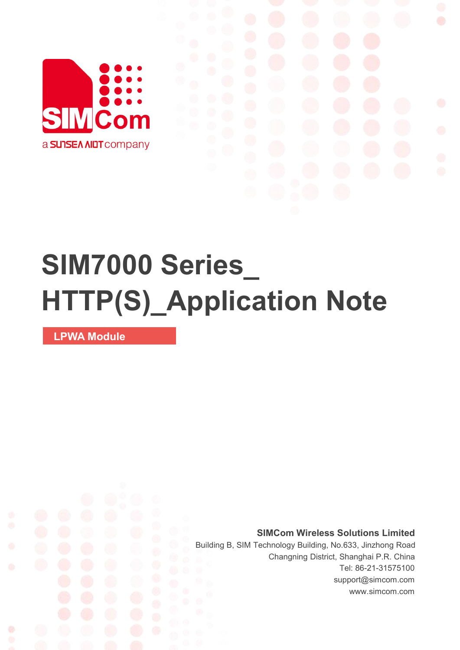

# **SIM7000 Series\_ HTTP(S)\_Application Note**

**LPWA Module**

Ø

**SIMCom Wireless Solutions Limited**

Building B, SIM Technology Building, No.633, Jinzhong Road Changning District, Shanghai P.R. China Tel: 86-21-31575100 support@simcom.com www.simcom.com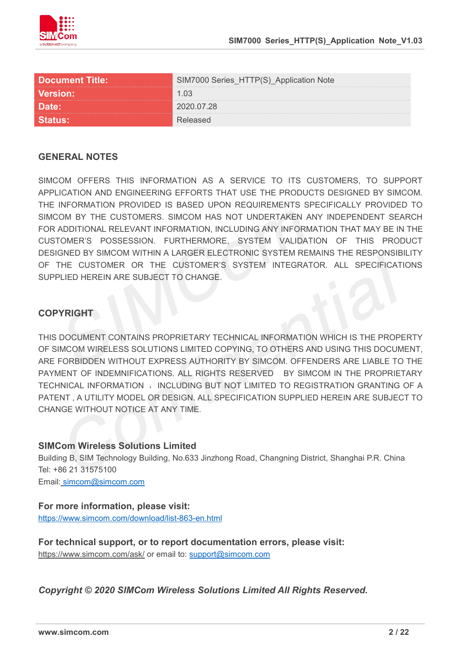

| ⊦Document Title: \ | HI I |
|--------------------|------|
| ersion:            |      |
|                    |      |
|                    |      |

#### **GENERAL NOTES**

SIMCOM OFFERS THIS INFORMATION AS A SERVICE TO ITS CUSTOMERS. TO SUPPORT APPLICATION AND ENGINEERING EFFORTS THAT USE THE PRODUCTS DESIGNED BY SIMCOM. THE INFORMATION PROVIDED IS BASED UPON REQUIREMENTS SPECIFICALLY PROVIDED TO SIMCOM BY THE CUSTOMERS. SIMCOM HAS NOT UNDERTAKEN ANY INDEPENDENT SEARCH FOR ADDITIONAL RELEVANT INFORMATION, INCLUDING ANY INFORMATION THAT MAY BE IN THE CUSTOMER'S POSSESSION. FURTHERMORE, SYSTEM VALIDATION OF THIS PRODUCT DESIGNED BY SIMCOM WITHIN A LARGER ELECTRONIC SYSTEM REMAINS THE RESPONSIBILITY OF THE CUSTOMER OR THE CUSTOMER'S SYSTEM INTEGRATOR. ALL SPECIFICATIONS SUPPLIED HEREIN ARE SUBJECT TO CHANGE.

#### **COPYRIGHT**

THIS DOCUMENT CONTAINS PROPRIETARY TECHNICAL INFORMATION WHICH IS THE PROPERTY OF SIMCOM WIRELESS SOLUTIONS LIMITED COPYING, TO OTHERS AND USING THIS DOCUMENT, ARE FORBIDDEN WITHOUT EXPRESS AUTHORITY BY SIMCOM. OFFENDERS ARE LIABLE TO THE PAYMENT OF INDEMNIFICATIONS. ALL RIGHTS RESERVED BY SIMCOM IN THE PROPRIETARY TECHNICAL INFORMATION , INCLUDING BUT NOT LIMITED TO REGISTRATION GRANTING OF A PATENT , A UTILITY MODEL OR DESIGN. ALL SPECIFICATION SUPPLIED HEREIN ARE SUBJECT TO CHANGE WITHOUT NOTICE AT ANY TIME.

#### **SIMCom Wireless Solutions Limited**

Building B, SIM Technology Building, No.633 Jinzhong Road, Changning District, Shanghai P.R. China Tel: +86 21 31575100

Email: [simcom@simcom.com](mailto:simcom@simcom.com)

#### **For more information, please visit:**

<https://www.simcom.com/download/list-863-en.html>

**For technical support, or to report documentation errors, please visit:** https://www.simcom.com/ask/ or email to: [support@simcom.com](mailto:support@simcom.com)

*Copyright © 2020 SIMCom Wireless Solutions Limited All Rights Reserved.*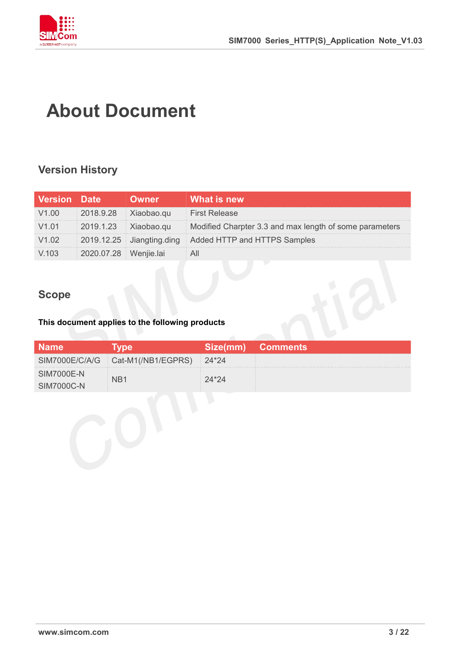

# **About Document**

# **Version History**

|       | ⊟ Dato    |           | What is new                                             |
|-------|-----------|-----------|---------------------------------------------------------|
| V1 00 |           |           |                                                         |
|       |           | Jaobao.gu | Modified Charpter 3.3 and max length of some parameters |
|       | )19.12.25 |           | ngting.ding Added HTTP and HTTPS Samples                |
|       |           |           |                                                         |

# **Scope**

## **This document applies to the following products**

| Name       |                                         | Size(mm) Comments |
|------------|-----------------------------------------|-------------------|
|            | SIM7000E/C/A/G Cat-M1(/NB1/EGPRS) 24*24 |                   |
| SIM7000E-N |                                         |                   |
|            |                                         |                   |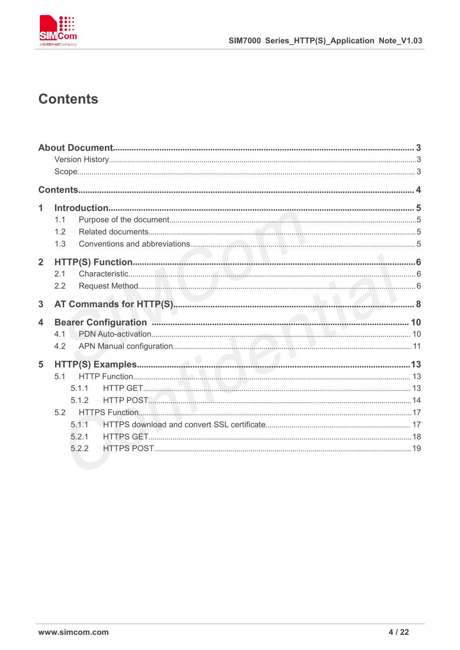

# **Contents**

| 1                       |     |       |  |
|-------------------------|-----|-------|--|
|                         | 1.1 |       |  |
|                         | 1.2 |       |  |
|                         | 1.3 |       |  |
| $\overline{2}$          |     |       |  |
|                         | 2.1 |       |  |
|                         | 2.2 |       |  |
| $\overline{3}$          |     |       |  |
| $\overline{\mathbf{4}}$ |     |       |  |
|                         | 4.1 |       |  |
|                         | 4.2 |       |  |
| 5                       |     |       |  |
|                         | 5.1 |       |  |
|                         |     | 5.1.1 |  |
|                         |     | 5.1.2 |  |
|                         | 5.2 |       |  |
|                         |     | 511   |  |
|                         |     | 5.2.1 |  |
|                         |     | 5.2.2 |  |
|                         |     |       |  |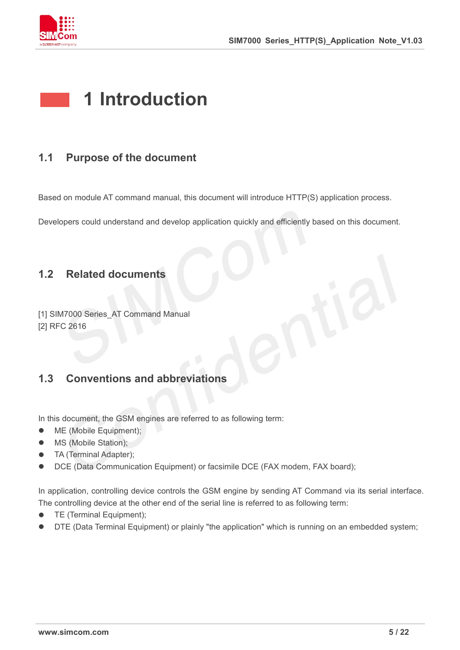

# **1 Introduction**

# **1.1 Purpose of the document**

Based on module AT command manual, this document will introduce HTTP(S) application process.

Developers could understand and develop application quickly and efficiently based on this document.

## **1.2 Related documents**

[1] SIM7000 Series AT Command Manual [2] RFC 2616

## **1.3 Conventions and abbreviations**

In this document, the GSM engines are referred to as following term:

- ME (Mobile Equipment);
- MS (Mobile Station);
- TA (Terminal Adapter);
- DCE (Data Communication Equipment) or facsimile DCE (FAX modem, FAX board);

In application, controlling device controls the GSM engine by sending AT Command via its serial interface. The controlling device at the other end of the serial line is referred to as following term:

- **•** TE (Terminal Equipment);
- DTE (Data Terminal Equipment) or plainly "the application" which is running on an embedded system;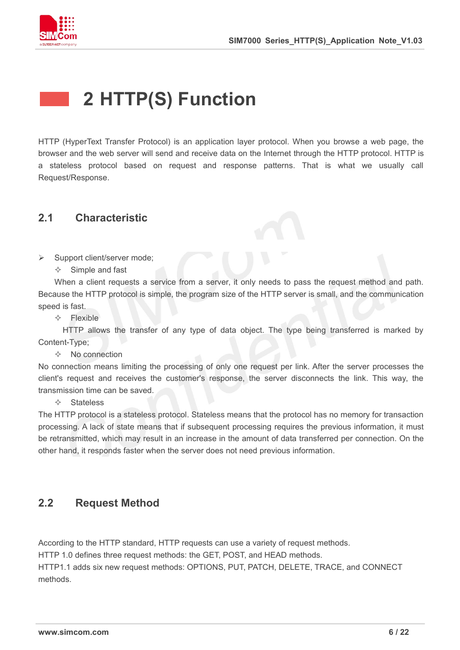

# **2 HTTP(S) Function**

HTTP (HyperText Transfer Protocol) is an application layer protocol. When you browse a web page, the browser and the web server will send and receive data on the Internet through the HTTP protocol. HTTP is a stateless protocol based on request and response patterns. That is what we usually call Request/Response.

# **2.1 Characteristic**

- $\triangleright$  Support client/server mode;
	- $\Leftrightarrow$  Simple and fast

When a client requests a service from a server, it only needs to pass the request method and path. Because the HTTP protocol is simple, the program size of the HTTP server is small, and the communication speed is fast.

 $\div$  Flexible

HTTP allows the transfer of any type of data object. The type being transferred is marked by Content-Type;

 $\lozenge$  No connection

No connection means limiting the processing of only one request per link. After the server processes the client's request and receives the customer's response, the server disconnects the link.This way, the transmission time can be saved.

 $\div$  Stateless

The HTTP protocol is a stateless protocol. Stateless means that the protocol has no memory for transaction processing. A lack of state means that if subsequent processing requires the previous information, it must be retransmitted, which may result in an increase in the amount of data transferred per connection. On the other hand, it responds faster when the server does not need previous information.

# **2.2 Request Method**

According to the HTTP standard, HTTP requests can use a variety of request methods.

HTTP 1.0 defines three request methods: the GET, POST, and HEAD methods.

HTTP1.1 adds six new request methods: OPTIONS, PUT, PATCH, DELETE, TRACE, and CONNECT methods.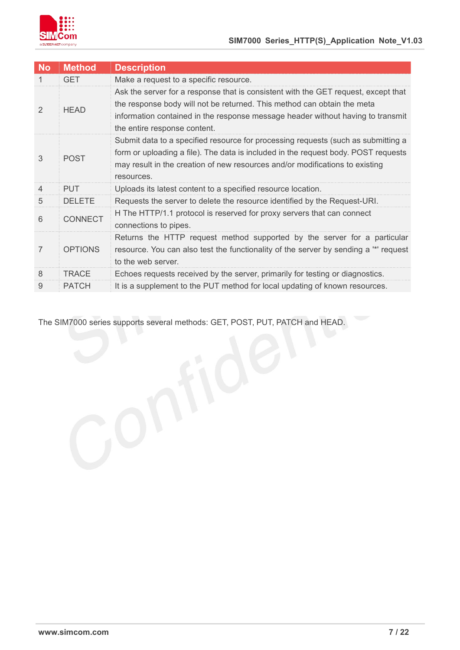

| <b>No</b>      | <b>Method</b>  | <b>Description</b>                                                                                              |
|----------------|----------------|-----------------------------------------------------------------------------------------------------------------|
| $\mathbf{1}$   | <b>GET</b>     | Make a request to a specific resource.                                                                          |
|                |                | Ask the server for a response that is consistent with the GET request, except that                              |
| $\overline{2}$ | <b>HEAD</b>    | the response body will not be returned. This method can obtain the meta                                         |
|                |                | information contained in the response message header without having to transmit<br>the entire response content. |
|                |                | Submit data to a specified resource for processing requests (such as submitting a                               |
|                |                | form or uploading a file). The data is included in the request body. POST requests                              |
| 3              | <b>POST</b>    | may result in the creation of new resources and/or modifications to existing                                    |
|                |                | resources.                                                                                                      |
| $\overline{4}$ | <b>PUT</b>     | Uploads its latest content to a specified resource location.                                                    |
| 5              | <b>DELETE</b>  | Requests the server to delete the resource identified by the Request-URI.                                       |
| 6              | <b>CONNECT</b> | H The HTTP/1.1 protocol is reserved for proxy servers that can connect                                          |
|                |                | connections to pipes.                                                                                           |
|                |                | Returns the HTTP request method supported by the server for a particular                                        |
| 7              | <b>OPTIONS</b> | resource. You can also test the functionality of the server by sending a "*" request                            |
|                |                | to the web server.                                                                                              |
| 8              | <b>TRACE</b>   | Echoes requests received by the server, primarily for testing or diagnostics.                                   |
| 9              | <b>PATCH</b>   | It is a supplement to the PUT method for local updating of known resources.                                     |

The SIM7000 series supports several methods: GET, POST, PUT, PATCH and HEAD.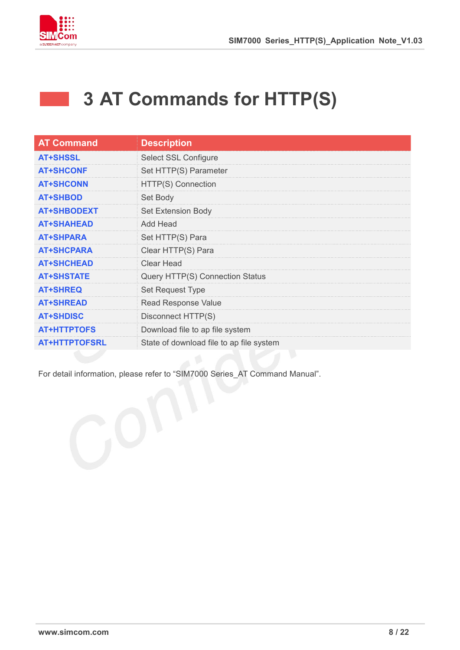

# **3 AT Commands for HTTP(S)**

| <b>AT Command</b>    | <b>Description</b>                       |
|----------------------|------------------------------------------|
| <b>AT+SHSSL</b>      | Select SSL Configure                     |
| <b>AT+SHCONF</b>     | Set HTTP(S) Parameter                    |
| <b>AT+SHCONN</b>     | HTTP(S) Connection                       |
| <b>AT+SHBOD</b>      | Set Body                                 |
| <b>AT+SHBODEXT</b>   | Set Extension Body                       |
| <b>AT+SHAHEAD</b>    | Add Head                                 |
| <b>AT+SHPARA</b>     | Set HTTP(S) Para                         |
| <b>AT+SHCPARA</b>    | Clear HTTP(S) Para                       |
| <b>AT+SHCHEAD</b>    | Clear Head                               |
| <b>AT+SHSTATE</b>    | Query HTTP(S) Connection Status          |
| <b>AT+SHREQ</b>      | Set Request Type                         |
| <b>AT+SHREAD</b>     | <b>Read Response Value</b>               |
| <b>AT+SHDISC</b>     | Disconnect HTTP(S)                       |
| <b>AT+HTTPTOFS</b>   | Download file to ap file system          |
| <b>AT+HTTPTOFSRL</b> | State of download file to ap file system |

For detail information, please refer to "SIM7000 Series\_AT Command Manual".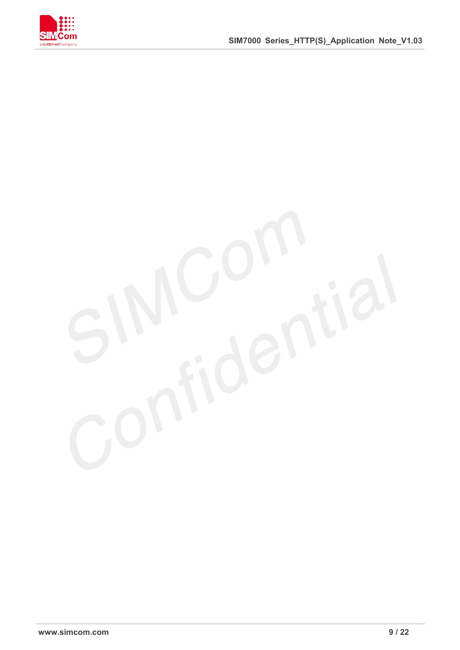

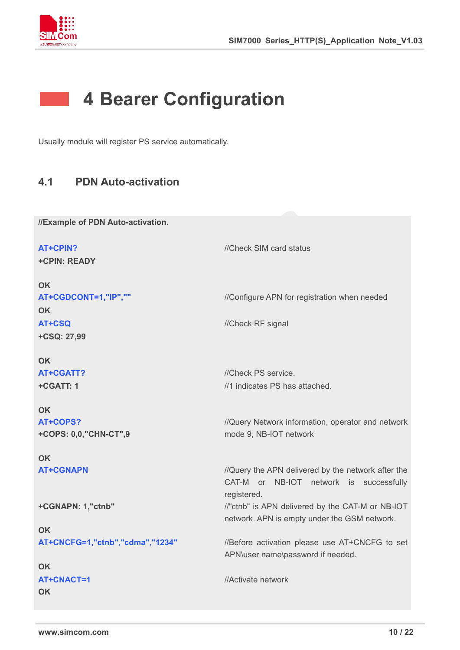

# **4 Bearer Configuration**

Usually module will register PS service automatically.

# **4.1 PDN Auto-activation**

| //Example of PDN Auto-activation. |                                                        |
|-----------------------------------|--------------------------------------------------------|
| <b>AT+CPIN?</b>                   | //Check SIM card status                                |
| +CPIN: READY                      |                                                        |
| <b>OK</b>                         |                                                        |
| AT+CGDCONT=1,"IP",""              | //Configure APN for registration when needed           |
| <b>OK</b>                         |                                                        |
| AT+CSQ                            | //Check RF signal                                      |
| +CSQ: 27,99                       |                                                        |
| <b>OK</b>                         |                                                        |
| <b>AT+CGATT?</b>                  | //Check PS service.                                    |
| +CGATT: 1                         | //1 indicates PS has attached.                         |
| <b>OK</b>                         |                                                        |
| AT+COPS?                          | //Query Network information, operator and network      |
| +COPS: 0,0,"CHN-CT",9             | mode 9, NB-IOT network                                 |
| <b>OK</b>                         |                                                        |
| <b>AT+CGNAPN</b>                  | //Query the APN delivered by the network after the     |
|                                   | CAT-M or NB-IOT network is successfully<br>registered. |
| +CGNAPN: 1,"ctnb"                 | //"ctnb" is APN delivered by the CAT-M or NB-IOT       |
|                                   | network. APN is empty under the GSM network.           |
| <b>OK</b>                         |                                                        |
| AT+CNCFG=1,"ctnb","cdma","1234"   | //Before activation please use AT+CNCFG to set         |
| <b>OK</b>                         | APN\user name\password if needed.                      |
| AT+CNACT=1                        | //Activate network                                     |
| <b>OK</b>                         |                                                        |
|                                   |                                                        |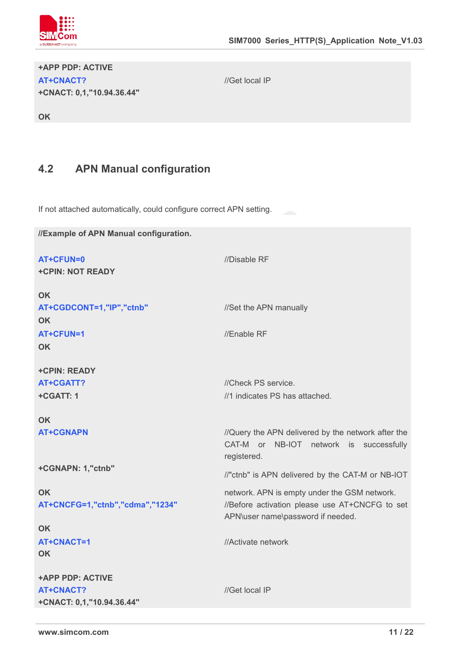

## **+APP PDP: ACTIVE AT+CNACT? +CNACT: 0,1,"10.94.36.44"**

//Get local IP

**OK**

# **4.2 APN Manual configuration**

If not attached automatically, could configure correct APN setting.

| //Example of APN Manual configuration.                                   |                                                                                                              |
|--------------------------------------------------------------------------|--------------------------------------------------------------------------------------------------------------|
| <b>AT+CFUN=0</b><br><b>+CPIN: NOT READY</b>                              | //Disable RF                                                                                                 |
| <b>OK</b>                                                                |                                                                                                              |
| AT+CGDCONT=1,"IP","ctnb"                                                 | //Set the APN manually                                                                                       |
| <b>OK</b>                                                                |                                                                                                              |
| <b>AT+CFUN=1</b>                                                         | //Enable RF                                                                                                  |
| <b>OK</b>                                                                |                                                                                                              |
| <b>+CPIN: READY</b>                                                      |                                                                                                              |
| <b>AT+CGATT?</b>                                                         | //Check PS service.                                                                                          |
| +CGATT: 1                                                                | //1 indicates PS has attached.                                                                               |
| <b>OK</b>                                                                |                                                                                                              |
| <b>AT+CGNAPN</b>                                                         | //Query the APN delivered by the network after the<br>CAT-M or NB-IOT network is successfully<br>registered. |
| +CGNAPN: 1,"ctnb"                                                        | //"ctnb" is APN delivered by the CAT-M or NB-IOT                                                             |
| <b>OK</b>                                                                | network. APN is empty under the GSM network.                                                                 |
| AT+CNCFG=1,"ctnb","cdma","1234"                                          | //Before activation please use AT+CNCFG to set<br>APN\user name\password if needed.                          |
| <b>OK</b>                                                                |                                                                                                              |
| AT+CNACT=1<br><b>OK</b>                                                  | //Activate network                                                                                           |
| <b>+APP PDP: ACTIVE</b><br><b>AT+CNACT?</b><br>+CNACT: 0,1,"10.94.36.44" | //Get local IP                                                                                               |
|                                                                          |                                                                                                              |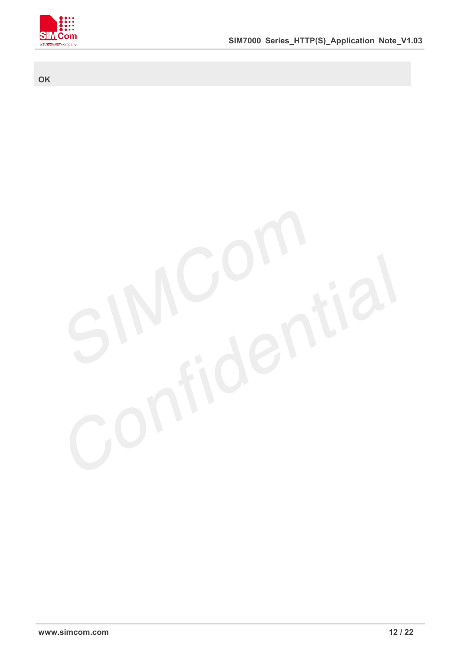

#### **OK**

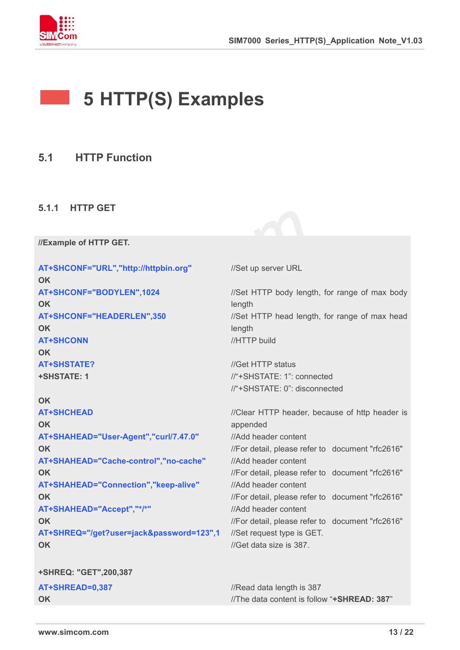

# **5 HTTP(S) Examples**

# **5.1 HTTP Function**

### **5.1.1 HTTP GET**

**//Example of HTTP GET.**

```
AT+SHCONF="URL","http://httpbin.org" OK
                                    //Set up server URL
AT+SHCONF="BODYLEN",1024
OK
                                    //Set HTTP body length, for range of max body
                                    length
AT+SHCONF="HEADERLEN",350
OK
                                    //Set HTTP head length, for range of max head
                                    length
AT+SHCONN
OK
                                    //HTTP build
AT+SHSTATE?
+SHSTATE: 1
OK
                                    //Get HTTP status
                                    //"+SHSTATE: 1": connected
                                    //"+SHSTATE: 0": disconnected
AT+SHCHEAD
OK
                                    //Clear HTTP header, because of http header is
                                    appended
AT+SHAHEAD="User-Agent","curl/7.47.0" OK
                                    //Add header content
                                    //For detail, please refer to document "rfc2616" AT+SHAHEAD="Cache-control","no-cache" OK
                                    //Add header content
                                    //For detail, please refer to document "rfc2616" AT+SHAHEAD="Connection","keep-alive" OK
                                    //Add header content
                                    //For detail, please refer to document "rfc2616" AT+SHAHEAD="Accept","*/*" OK
                                    //Add header content
                                    //For detail, please refer to document "rfc2616" AT+SHREQ="/get?user=jack&password=123",1
OK
+SHREQ: "GET",200,387
                                    //Set request type is GET.
                                    //Get data size is 387.
AT+SHREAD=0,387
OK
                                    //Read data length is 387
                                    //The data content is follow "+SHREAD: 387"
```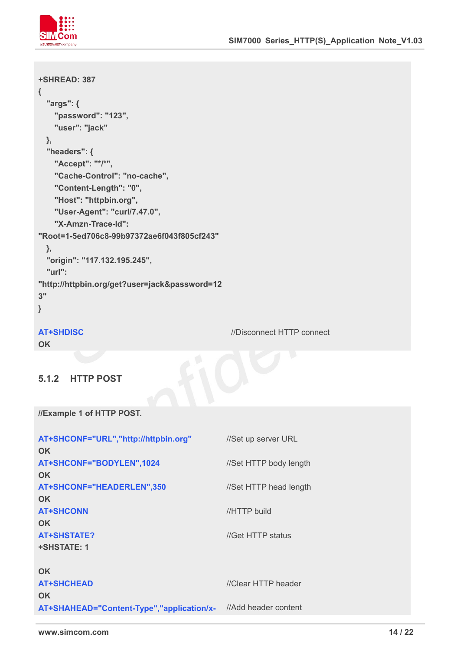

| +SHREAD: 387                                  |                           |
|-----------------------------------------------|---------------------------|
| $\{$                                          |                           |
| "args": {                                     |                           |
| "password": "123",                            |                           |
| "user": "jack"                                |                           |
| },                                            |                           |
| "headers": {                                  |                           |
| "Accept": "*/*",                              |                           |
| "Cache-Control": "no-cache",                  |                           |
| "Content-Length": "0",                        |                           |
| "Host": "httpbin.org",                        |                           |
| "User-Agent": "curl/7.47.0",                  |                           |
| "X-Amzn-Trace-Id":                            |                           |
| "Root=1-5ed706c8-99b97372ae6f043f805cf243"    |                           |
| },                                            |                           |
| "origin": "117.132.195.245",                  |                           |
| "url":                                        |                           |
| "http://httpbin.org/get?user=jack&password=12 |                           |
| 3"                                            |                           |
| }                                             |                           |
| <b>AT+SHDISC</b>                              | //Disconnect HTTP connect |
| <b>OK</b>                                     |                           |

# **5.1.2 HTTP POST**

**//Example 1 of HTTP POST.**

| AT+SHCONF="URL","http://httpbin.org"<br><b>OK</b> | //Set up server URL    |
|---------------------------------------------------|------------------------|
| AT+SHCONF="BODYLEN",1024<br><b>OK</b>             | //Set HTTP body length |
| AT+SHCONF="HEADERLEN",350<br><b>OK</b>            | //Set HTTP head length |
| <b>AT+SHCONN</b><br><b>OK</b>                     | //HTTP build           |
| <b>AT+SHSTATE?</b><br><b>+SHSTATE: 1</b>          | //Get HTTP status      |
| <b>OK</b>                                         |                        |
| <b>AT+SHCHEAD</b><br><b>OK</b>                    | //Clear HTTP header    |
| AT+SHAHEAD="Content-Type","application/x-         | //Add header content   |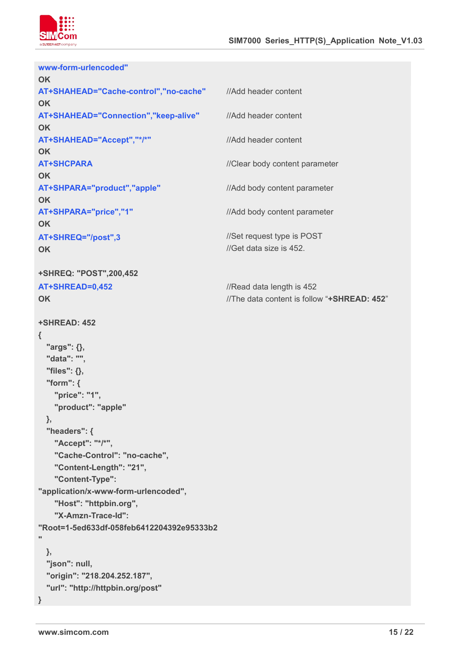

```
www-form-urlencoded" OK
AT+SHAHEAD="Cache-control","no-cache" OK
                                  //Add header content
AT+SHAHEAD="Connection","keep-alive" OK
                                  //Add header content
AT+SHAHEAD="Accept","*/*" OK
                                   //Add header content
AT+SHCPARA
OK
                                   //Clear body content parameter
AT+SHPARA="product","apple" OK
                                   //Add body content parameter
AT+SHPARA="price","1" OK
                                   //Add body content parameter
AT+SHREQ="/post",3
OK
+SHREQ: "POST",200,452
                                   //Set request type is POST
                                   //Get data size is 452.
AT+SHREAD=0,452
OK
+SHREAD: 452
{ "args": {}, "data": "", "files": {}, "form": { "price": "1", "product": "apple"
 },"headers": { "Accept": "*/*", "Cache-Control": "no-cache", "Content-Length": "21", "Content-Type": "application/x-www-form-urlencoded", "Host": "httpbin.org", "X-Amzn-Trace-Id": "Root=1-5ed633df-058feb6412204392e95333b2
"
 },"json": null, "origin": "218.204.252.187", "url": "http://httpbin.org/post"
}
                                   //Read data length is 452
                                   //The data content is follow "+SHREAD: 452"
```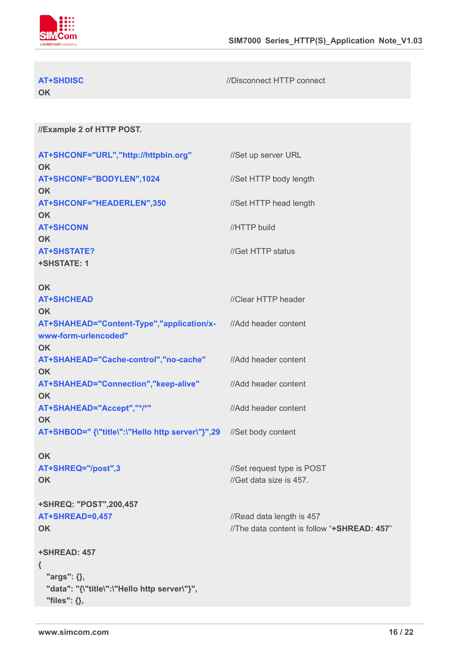

#### **AT+SHDISC**

**OK**

//Disconnect HTTP connect

#### **//Example 2 of HTTP POST.**

| AT+SHCONF="URL","http://httpbin.org"                               | //Set up server URL                         |  |
|--------------------------------------------------------------------|---------------------------------------------|--|
| <b>OK</b>                                                          |                                             |  |
| AT+SHCONF="BODYLEN",1024                                           | //Set HTTP body length                      |  |
| <b>OK</b>                                                          |                                             |  |
| AT+SHCONF="HEADERLEN",350                                          | //Set HTTP head length                      |  |
| <b>OK</b>                                                          |                                             |  |
| <b>AT+SHCONN</b>                                                   | //HTTP build                                |  |
| <b>OK</b>                                                          |                                             |  |
| <b>AT+SHSTATE?</b><br><b>+SHSTATE: 1</b>                           | //Get HTTP status                           |  |
| <b>OK</b>                                                          |                                             |  |
| <b>AT+SHCHEAD</b>                                                  | //Clear HTTP header                         |  |
| <b>OK</b>                                                          |                                             |  |
| AT+SHAHEAD="Content-Type","application/x-<br>www-form-urlencoded"  | //Add header content                        |  |
| <b>OK</b>                                                          |                                             |  |
| AT+SHAHEAD="Cache-control","no-cache"                              | //Add header content                        |  |
| <b>OK</b>                                                          |                                             |  |
| AT+SHAHEAD="Connection","keep-alive"                               | //Add header content                        |  |
| <b>OK</b>                                                          |                                             |  |
| AT+SHAHEAD="Accept","*/*"                                          | //Add header content                        |  |
| <b>OK</b>                                                          |                                             |  |
| AT+SHBOD="{\"title\":\"Hello http server\"}",29 //Set body content |                                             |  |
| <b>OK</b>                                                          |                                             |  |
| AT+SHREQ="/post",3                                                 | //Set request type is POST                  |  |
| <b>OK</b>                                                          | //Get data size is 457.                     |  |
| <b>+SHREQ: "POST",200,457</b>                                      |                                             |  |
| AT+SHREAD=0,457                                                    | //Read data length is 457                   |  |
| <b>OK</b>                                                          | //The data content is follow "+SHREAD: 457" |  |
| +SHREAD: 457                                                       |                                             |  |
| ₹                                                                  |                                             |  |
| "args": {},                                                        |                                             |  |
| "data": "{\"title\":\"Hello http server\"}",                       |                                             |  |
| "files": {},                                                       |                                             |  |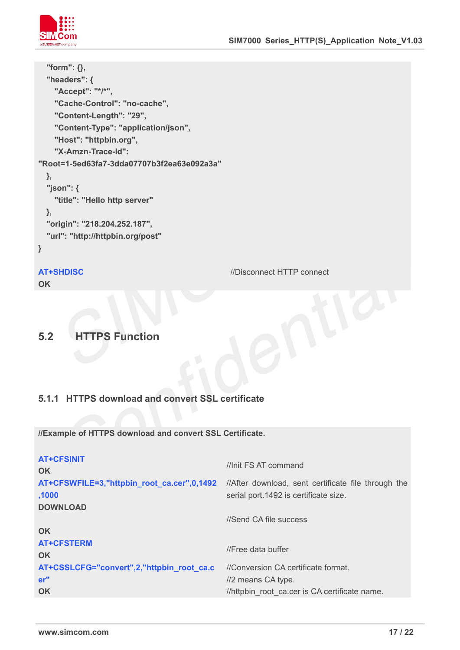

```
"form": {}, "headers": { "Accept": "*/*", "Cache-Control": "no-cache", "Content-Length": "29", "Content-Type": "application/json", "Host": "httpbin.org", "X-Amzn-Trace-Id": "Root=1-5ed63fa7-3dda07707b3f2ea63e092a3a"
 },"json": { "title": "Hello http server"
 },"origin": "218.204.252.187", "url": "http://httpbin.org/post"
}
```

```
AT+SHDISC
```
**OK**

//Disconnect HTTP connect

# **5.2 HTTPS Function**

### **5.1.1 HTTPS download and convert SSL certificate**

**//Example of HTTPS download and convert SSL Certificate.**

| <b>AT+CFSINIT</b><br><b>OK</b>                                | //Init FS AT command                                                                                       |
|---------------------------------------------------------------|------------------------------------------------------------------------------------------------------------|
| AT+CFSWFILE=3,"httpbin_root_ca.cer",0,1492<br>,1000           | //After download, sent certificate file through the<br>serial port.1492 is certificate size.               |
| <b>DOWNLOAD</b><br><b>OK</b>                                  | //Send CA file success                                                                                     |
| <b>AT+CFSTERM</b><br><b>OK</b>                                | //Free data buffer                                                                                         |
| AT+CSSLCFG="convert",2,"httpbin_root_ca.c<br>er"<br><b>OK</b> | //Conversion CA certificate format.<br>//2 means CA type.<br>//httpbin root ca.cer is CA certificate name. |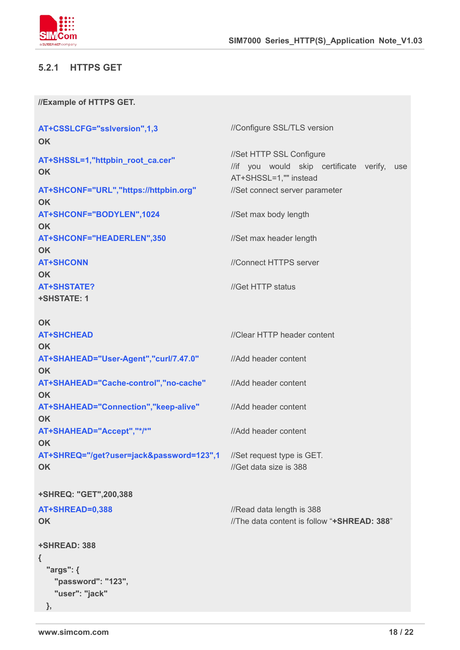

## **5.2.1 HTTPS GET**

| //Example of HTTPS GET.                            |                                                                                                  |
|----------------------------------------------------|--------------------------------------------------------------------------------------------------|
| AT+CSSLCFG="sslversion",1,3<br><b>OK</b>           | //Configure SSL/TLS version                                                                      |
| AT+SHSSL=1,"httpbin_root_ca.cer"<br><b>OK</b>      | //Set HTTP SSL Configure<br>//if you would skip certificate verify, use<br>AT+SHSSL=1,"" instead |
| AT+SHCONF="URL","https://httpbin.org"<br><b>OK</b> | //Set connect server parameter                                                                   |
| AT+SHCONF="BODYLEN",1024<br><b>OK</b>              | //Set max body length                                                                            |
| AT+SHCONF="HEADERLEN",350<br><b>OK</b>             | //Set max header length                                                                          |
| <b>AT+SHCONN</b><br><b>OK</b>                      | //Connect HTTPS server                                                                           |
| <b>AT+SHSTATE?</b><br>+SHSTATE: 1                  | //Get HTTP status                                                                                |
| <b>OK</b>                                          |                                                                                                  |
| <b>AT+SHCHEAD</b><br><b>OK</b>                     | //Clear HTTP header content                                                                      |
| AT+SHAHEAD="User-Agent","curl/7.47.0"<br><b>OK</b> | //Add header content                                                                             |
| AT+SHAHEAD="Cache-control","no-cache"<br><b>OK</b> | //Add header content                                                                             |
| AT+SHAHEAD="Connection","keep-alive"<br><b>OK</b>  | //Add header content                                                                             |
| AT+SHAHEAD="Accept","*/*"<br>OK                    | //Add header content                                                                             |
| AT+SHREQ="/get?user=jack&password=123",1<br>OK     | //Set request type is GET.<br>//Get data size is 388                                             |
| +SHREQ: "GET",200,388                              |                                                                                                  |
| AT+SHREAD=0,388<br><b>OK</b>                       | //Read data length is 388<br>//The data content is follow "+SHREAD: 388"                         |
| +SHREAD: 388                                       |                                                                                                  |
| ₹<br>"args": {<br>"password": "123",               |                                                                                                  |
| "user": "jack"<br>},                               |                                                                                                  |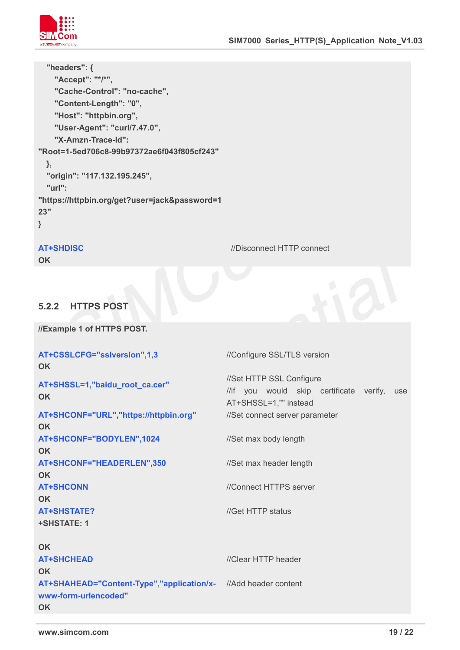

**"headers": { "Accept": "\*/\*", "Cache-Control": "no-cache", "Content-Length": "0", "Host": "httpbin.org", "User-Agent": "curl/7.47.0", "X-Amzn-Trace-Id": "Root=1-5ed706c8-99b97372ae6f043f805cf243" },"origin": "117.132.195.245", "url": "https://httpbin.org/get?user=jack&password=1 23" }**

#### **AT+SHDISC**

**OK**

//Disconnect HTTP connect

## **5.2.2 HTTPS POST**

**//Example 1 of HTTPS POST.**

#### **AT+CSSLCFG="sslversion",1,3 OK** //Configure SSL/TLS version **AT+SHSSL=1,"baidu\_root\_ca.cer" OK** //Set HTTP SSLConfigure //if you would skip certificate verify, use AT+SHSSL=1,"" instead **AT+SHCONF="URL","https://httpbin.org" OK** //Set connect server parameter **AT+SHCONF="BODYLEN",1024 OK** //Set max body length **AT+SHCONF="HEADERLEN",350 OK** //Set max header length **AT+SHCONN OK** //Connect HTTPS server **AT+SHSTATE? +SHSTATE: 1 OK** //Get HTTP status **AT+SHCHEAD OK** //Clear HTTP header **AT+SHAHEAD="Content-Type","application/x-** //Add header content

**www-form-urlencoded"**

**OK**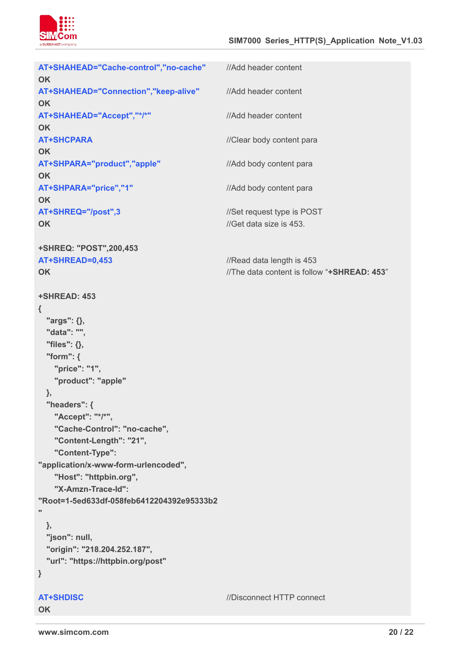

| AT+SHAHEAD="Cache-control","no-cache"<br><b>OK</b>                                                                                                                                                                                                                                                                  | //Add header content                                                     |
|---------------------------------------------------------------------------------------------------------------------------------------------------------------------------------------------------------------------------------------------------------------------------------------------------------------------|--------------------------------------------------------------------------|
| AT+SHAHEAD="Connection","keep-alive"<br>OK                                                                                                                                                                                                                                                                          | //Add header content                                                     |
| AT+SHAHEAD="Accept","*/*"<br><b>OK</b>                                                                                                                                                                                                                                                                              | //Add header content                                                     |
| <b>AT+SHCPARA</b><br><b>OK</b>                                                                                                                                                                                                                                                                                      | //Clear body content para                                                |
| AT+SHPARA="product","apple"<br><b>OK</b>                                                                                                                                                                                                                                                                            | //Add body content para                                                  |
| AT+SHPARA="price","1"<br><b>OK</b>                                                                                                                                                                                                                                                                                  | //Add body content para                                                  |
| AT+SHREQ="/post",3<br>OK                                                                                                                                                                                                                                                                                            | //Set request type is POST<br>//Get data size is 453.                    |
| +SHREQ: "POST",200,453                                                                                                                                                                                                                                                                                              |                                                                          |
| AT+SHREAD=0,453<br><b>OK</b>                                                                                                                                                                                                                                                                                        | //Read data length is 453<br>//The data content is follow "+SHREAD: 453" |
| +SHREAD: 453<br>$\{$<br>"args": {},<br>"data": "",<br>"files": {},<br>"form": $\{$<br>"price": "1",<br>"product": "apple"<br>},<br>"headers": {<br>"Accept": "*/*",<br>"Cache-Control": "no-cache",<br>"Content-Length": "21",<br>"Content-Type":<br>"application/x-www-form-urlencoded",<br>"Host": "httpbin.org", |                                                                          |
| "X-Amzn-Trace-Id":<br>"Root=1-5ed633df-058feb6412204392e95333b2<br>$\bullet$                                                                                                                                                                                                                                        |                                                                          |
| },<br>"json": null,<br>"origin": "218.204.252.187",<br>"url": "https://httpbin.org/post"<br>}                                                                                                                                                                                                                       |                                                                          |
| <b>AT+SHDISC</b>                                                                                                                                                                                                                                                                                                    | //Disconnect HTTP connect                                                |

**OK**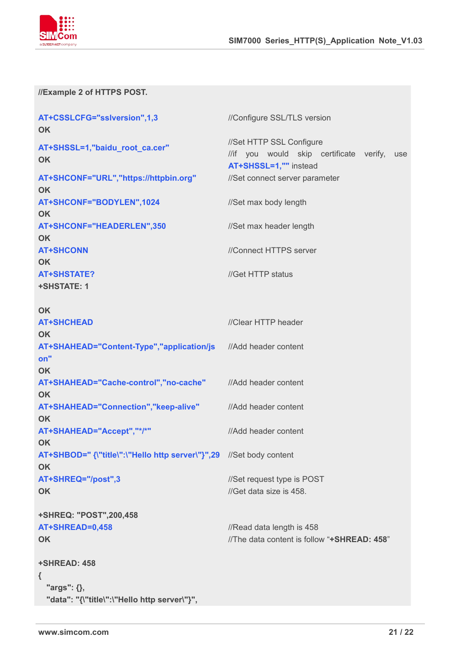

**//Example 2 of HTTPS POST.**

| AT+CSSLCFG="sslversion",1,3<br><b>OK</b>                                         | //Configure SSL/TLS version                                                                      |
|----------------------------------------------------------------------------------|--------------------------------------------------------------------------------------------------|
| AT+SHSSL=1,"baidu_root_ca.cer"<br><b>OK</b>                                      | //Set HTTP SSL Configure<br>//if you would skip certificate verify, use<br>AT+SHSSL=1,"" instead |
| AT+SHCONF="URL","https://httpbin.org"<br><b>OK</b>                               | //Set connect server parameter                                                                   |
| AT+SHCONF="BODYLEN",1024<br><b>OK</b>                                            | //Set max body length                                                                            |
| AT+SHCONF="HEADERLEN",350<br><b>OK</b>                                           | //Set max header length                                                                          |
| <b>AT+SHCONN</b><br><b>OK</b>                                                    | //Connect HTTPS server                                                                           |
| <b>AT+SHSTATE?</b><br>+SHSTATE: 1                                                | //Get HTTP status                                                                                |
| <b>OK</b>                                                                        |                                                                                                  |
| <b>AT+SHCHEAD</b><br><b>OK</b>                                                   | //Clear HTTP header                                                                              |
| AT+SHAHEAD="Content-Type","application/js //Add header content<br>on"            |                                                                                                  |
| <b>OK</b>                                                                        |                                                                                                  |
| AT+SHAHEAD="Cache-control","no-cache" //Add header content<br><b>OK</b>          |                                                                                                  |
| AT+SHAHEAD="Connection","keep-alive" //Add header content<br><b>OK</b>           |                                                                                                  |
| AT+SHAHEAD="Accept","*/*"<br><b>OK</b>                                           | //Add header content                                                                             |
| AT+SHBOD=" {\"title\":\"Hello http server\"}",29 //Set body content<br><b>OK</b> |                                                                                                  |
| AT+SHREQ="/post",3                                                               | //Set request type is POST                                                                       |
| <b>OK</b>                                                                        | //Get data size is 458.                                                                          |
| +SHREQ: "POST",200,458                                                           |                                                                                                  |
| AT+SHREAD=0,458                                                                  | //Read data length is 458                                                                        |
| <b>OK</b>                                                                        | //The data content is follow "+SHREAD: 458"                                                      |
| +SHREAD: 458                                                                     |                                                                                                  |
| {                                                                                |                                                                                                  |
| "args": {},                                                                      |                                                                                                  |
| "data": "{\"title\":\"Hello http server\"}",                                     |                                                                                                  |